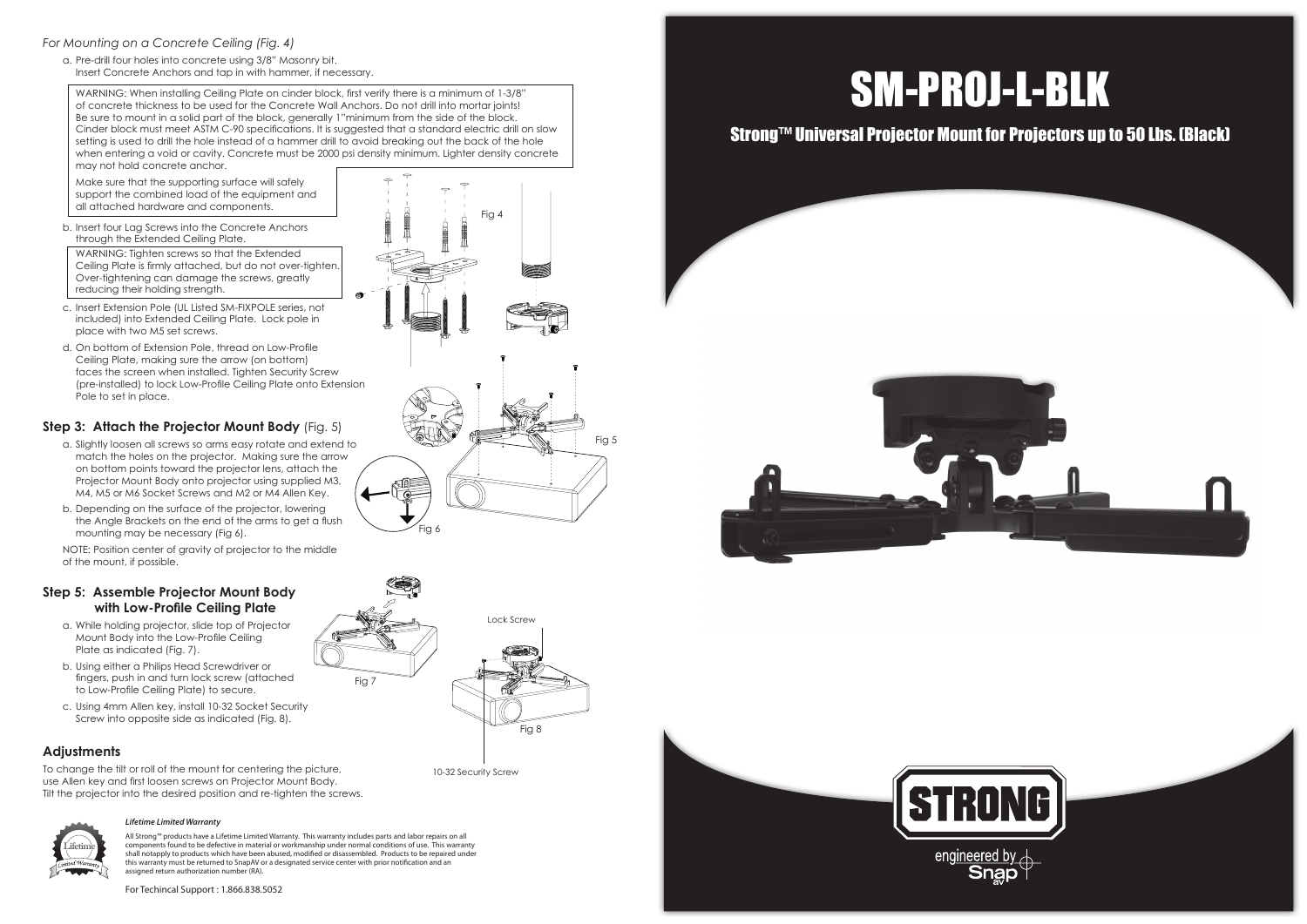# SM-PROJ-L-BLK

# Strong™ Universal Projector Mount for Projectors up to 50 Lbs. (Black)









## *For Mounting on a Concrete Ceiling (Fig. 4)*

a. Pre-drill four holes into concrete using 3/8" Masonry bit. Insert Concrete Anchors and tap in with hammer, if necessary.

b. Insert four Lag Screws into the Concrete Anchors through the Extended Ceiling Plate.

 WARNING: When installing Ceiling Plate on cinder block, first verify there is a minimum of 1-3/8" of concrete thickness to be used for the Concrete Wall Anchors. Do not drill into mortar joints! Be sure to mount in a solid part of the block, generally 1"minimum from the side of the block. Cinder block must meet ASTM C-90 specifications. It is suggested that a standard electric drill on slow setting is used to drill the hole instead of a hammer drill to avoid breaking out the back of the hole when entering a void or cavity. Concrete must be 2000 psi density minimum. Lighter density concrete may not hold concrete anchor.

 Make sure that the supporting surface will safely support the combined load of the equipment and all attached hardware and components.

 WARNING: Tighten screws so that the Extended Ceiling Plate is firmly attached, but do not over-tighten. Over-tightening can damage the screws, greatly reducing their holding strength.

- c. Insert Extension Pole (UL Listed SM-FIXPOLE series, not included) into Extended Ceiling Plate. Lock pole in place with two M5 set screws.
- d. On bottom of Extension Pole, thread on Low-Profile Ceiling Plate, making sure the arrow (on bottom) faces the screen when installed. Tighten Security Screw (pre-installed) to lock Low-Profile Ceiling Plate onto Extension Pole to set in place.

# **Step 3: Attach the Projector Mount Body** (Fig. 5)

- a. Slightly loosen all screws so arms easy rotate and extend to match the holes on the projector. Making sure the arrow on bottom points toward the projector lens, attach the Projector Mount Body onto projector using supplied M3, M4, M5 or M6 Socket Screws and M2 or M4 Allen Key.
- b. Depending on the surface of the projector, lowering the Angle Brackets on the end of the arms to get a flush mounting may be necessary (Fig 6).

 NOTE: Position center of gravity of projector to the middle of the mount, if possible.

## **Step 5: Assemble Projector Mount Body with Low-Profile Ceiling Plate**

- a. While holding projector, slide top of Projector Mount Body into the Low-Profile Ceiling Plate as indicated (Fig. 7).
- b. Using either a Philips Head Screwdriver or fingers, push in and turn lock screw (attached to Low-Profile Ceiling Plate) to secure.
- c. Using 4mm Allen key, install 10-32 Socket Security Screw into opposite side as indicated (Fig. 8).

## **Adjustments**

To change the tilt or roll of the mount for centering the picture, use Allen key and first loosen screws on Projector Mount Body. Tilt the projector into the desired position and re-tighten the screws.

# Lifetime

Fig 4

Fig 5

Fig 8

#### *Lifetime Limited Warranty*

All Strong™ products have a Lifetime Limited Warranty. This warranty includes parts and labor repairs on all components found to be defective in material or workmanship under normal conditions of use. This warranty shall notapply to products which have been abused, modified or disassembled. Products to be repaired under this warranty must be returned to SnapAV or a designated service center with prior notification and an assigned return authorization number (RA).



For Techincal Support : 1.866.838.5052

10-32 Security Screw